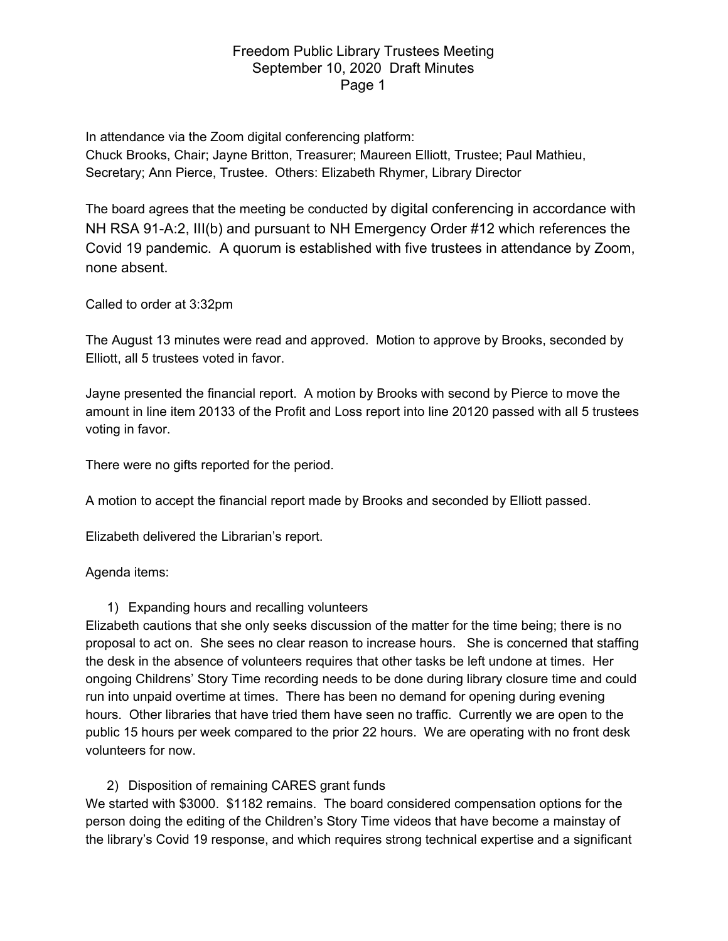In attendance via the Zoom digital conferencing platform: Chuck Brooks, Chair; Jayne Britton, Treasurer; Maureen Elliott, Trustee; Paul Mathieu, Secretary; Ann Pierce, Trustee. Others: Elizabeth Rhymer, Library Director

The board agrees that the meeting be conducted by digital conferencing in accordance with NH RSA 91-A:2, III(b) and pursuant to NH Emergency Order #12 which references the Covid 19 pandemic. A quorum is established with five trustees in attendance by Zoom, none absent.

Called to order at 3:32pm

The August 13 minutes were read and approved. Motion to approve by Brooks, seconded by Elliott, all 5 trustees voted in favor.

Jayne presented the financial report. A motion by Brooks with second by Pierce to move the amount in line item 20133 of the Profit and Loss report into line 20120 passed with all 5 trustees voting in favor.

There were no gifts reported for the period.

A motion to accept the financial report made by Brooks and seconded by Elliott passed.

Elizabeth delivered the Librarian's report.

### Agenda items:

1) Expanding hours and recalling volunteers

Elizabeth cautions that she only seeks discussion of the matter for the time being; there is no proposal to act on. She sees no clear reason to increase hours. She is concerned that staffing the desk in the absence of volunteers requires that other tasks be left undone at times. Her ongoing Childrens' Story Time recording needs to be done during library closure time and could run into unpaid overtime at times. There has been no demand for opening during evening hours. Other libraries that have tried them have seen no traffic. Currently we are open to the public 15 hours per week compared to the prior 22 hours. We are operating with no front desk volunteers for now.

2) Disposition of remaining CARES grant funds

We started with \$3000. \$1182 remains. The board considered compensation options for the person doing the editing of the Children's Story Time videos that have become a mainstay of the library's Covid 19 response, and which requires strong technical expertise and a significant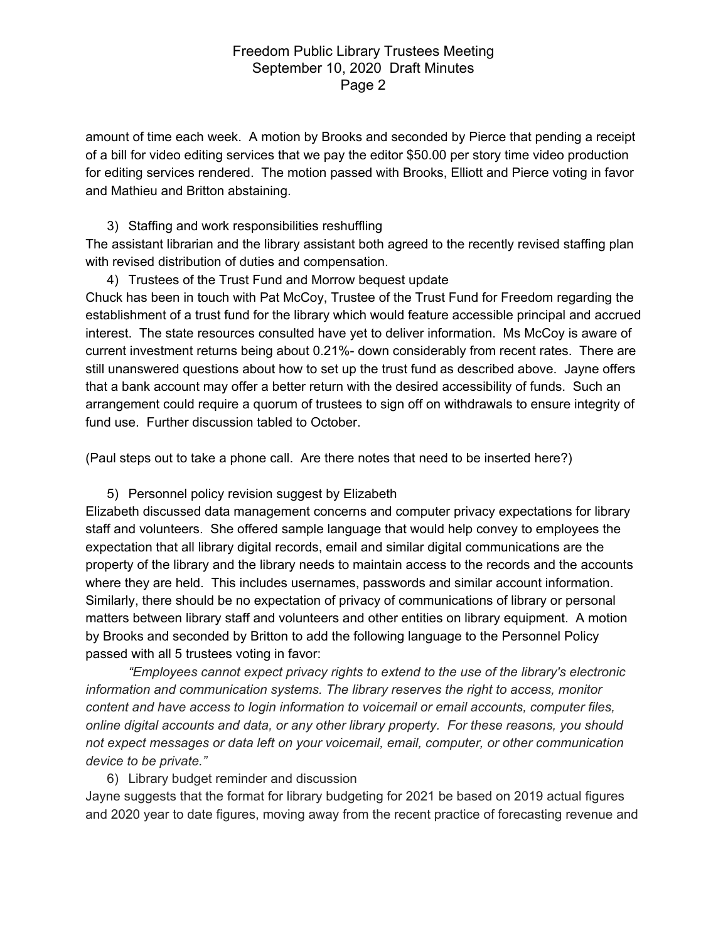amount of time each week. A motion by Brooks and seconded by Pierce that pending a receipt of a bill for video editing services that we pay the editor \$50.00 per story time video production for editing services rendered. The motion passed with Brooks, Elliott and Pierce voting in favor and Mathieu and Britton abstaining.

## 3) Staffing and work responsibilities reshuffling

The assistant librarian and the library assistant both agreed to the recently revised staffing plan with revised distribution of duties and compensation.

4) Trustees of the Trust Fund and Morrow bequest update

Chuck has been in touch with Pat McCoy, Trustee of the Trust Fund for Freedom regarding the establishment of a trust fund for the library which would feature accessible principal and accrued interest. The state resources consulted have yet to deliver information. Ms McCoy is aware of current investment returns being about 0.21%- down considerably from recent rates. There are still unanswered questions about how to set up the trust fund as described above. Jayne offers that a bank account may offer a better return with the desired accessibility of funds. Such an arrangement could require a quorum of trustees to sign off on withdrawals to ensure integrity of fund use. Further discussion tabled to October.

(Paul steps out to take a phone call. Are there notes that need to be inserted here?)

5) Personnel policy revision suggest by Elizabeth

Elizabeth discussed data management concerns and computer privacy expectations for library staff and volunteers. She offered sample language that would help convey to employees the expectation that all library digital records, email and similar digital communications are the property of the library and the library needs to maintain access to the records and the accounts where they are held. This includes usernames, passwords and similar account information. Similarly, there should be no expectation of privacy of communications of library or personal matters between library staff and volunteers and other entities on library equipment. A motion by Brooks and seconded by Britton to add the following language to the Personnel Policy passed with all 5 trustees voting in favor:

*"Employees cannot expect privacy rights to extend to the use of the library's electronic information and communication systems. The library reserves the right to access, monitor content and have access to login information to voicemail or email accounts, computer files, online digital accounts and data, or any other library property. For these reasons, you should not expect messages or data left on your voicemail, email, computer, or other communication device to be private."*

### 6) Library budget reminder and discussion

Jayne suggests that the format for library budgeting for 2021 be based on 2019 actual figures and 2020 year to date figures, moving away from the recent practice of forecasting revenue and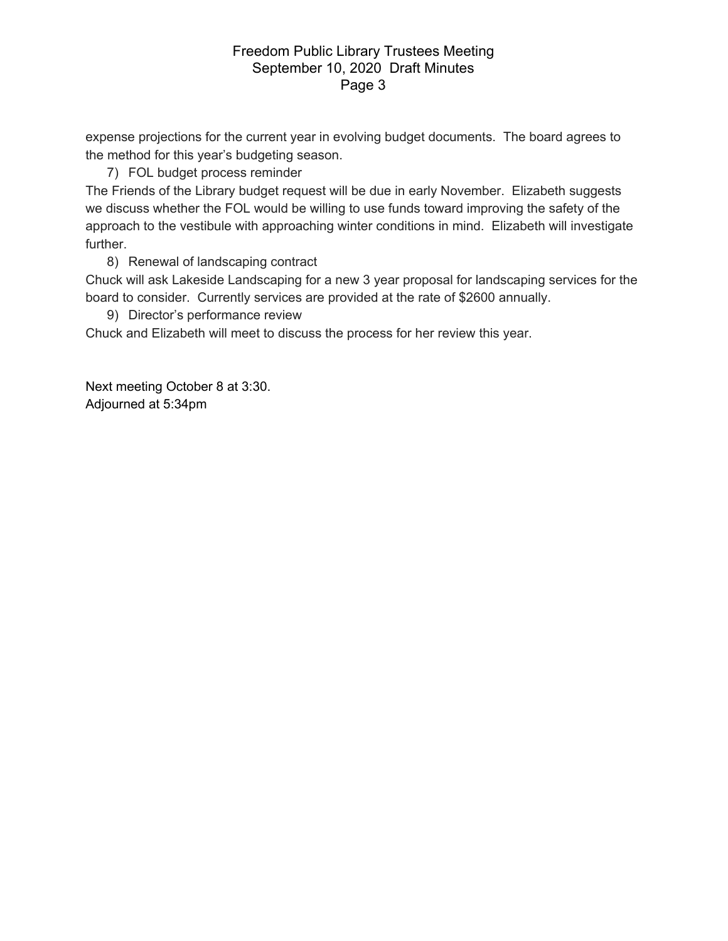expense projections for the current year in evolving budget documents. The board agrees to the method for this year's budgeting season.

7) FOL budget process reminder

The Friends of the Library budget request will be due in early November. Elizabeth suggests we discuss whether the FOL would be willing to use funds toward improving the safety of the approach to the vestibule with approaching winter conditions in mind. Elizabeth will investigate further.

8) Renewal of landscaping contract

Chuck will ask Lakeside Landscaping for a new 3 year proposal for landscaping services for the board to consider. Currently services are provided at the rate of \$2600 annually.

9) Director's performance review

Chuck and Elizabeth will meet to discuss the process for her review this year.

Next meeting October 8 at 3:30. Adjourned at 5:34pm